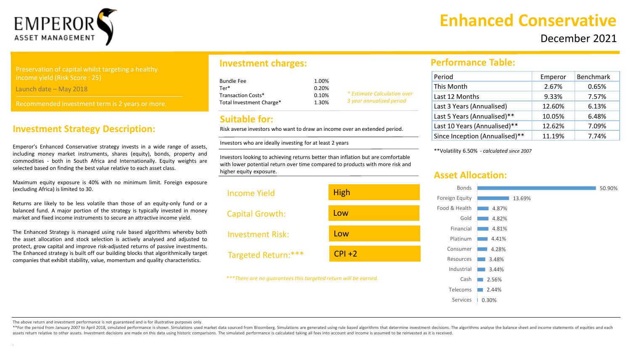

**Enhanced Conservative** 

## December 2021

Preservation of capital whilst targeting a healthy income yield (Risk Score : 25)

Launch date – May 2018

Recommended investment term is 2 years or more.

#### **Investment Strategy Description:**

Emperor's Enhanced Conservative strategy invests in a wide range of assets, including money market instruments, shares (equity), bonds, property and commodities - both in South Africa and Internationally. Equity weights are selected based on finding the best value relative to each asset class.

Maximum equity exposure is 40% with no minimum limit. Foreign exposure (excluding Africa) is limited to 30.

Returns are likely to be less volatile than those of an equity-only fund or a balanced fund. A major portion of the strategy is typically invested in money market and fixed income instruments to secure an attractive income yield.

The Enhanced Strategy is managed using rule based algorithms whereby both the asset allocation and stock selection is actively analysed and adjusted to protect, grow capital and improve risk-adjusted returns of passive investments. The Enhanced strategy is built off our building blocks that algorithmically target companies that exhibit stability, value, momentum and quality characteristics.

### **Investment charges:**

| Bundle Fee               | 1.00% |                             |
|--------------------------|-------|-----------------------------|
| Ter*                     | 0.20% |                             |
| Transaction Costs*       | 0.10% | * Estimate Calculation over |
| Total Investment Charge* | 1.30% | 3 year annualized period    |

#### **Suitable for:**

Risk averse investors who want to draw an income over an extended period.

Investors who are ideally investing for at least 2 years

Investors looking to achieving returns better than inflation but are comfortable with lower potential return over time compared to products with more risk and higher equity exposure.



#### **Performance Table:**

| Period                         | Emperor | <b>Benchmark</b> |
|--------------------------------|---------|------------------|
| This Month                     | 2.67%   | 0.65%            |
| Last 12 Months                 | 9.33%   | 7.57%            |
| Last 3 Years (Annualised)      | 12.60%  | 6.13%            |
| Last 5 Years (Annualised)**    | 10.05%  | 6.48%            |
| Last 10 Years (Annualised)**   | 12.62%  | 7.09%            |
| Since Inception (Annualised)** | 11.19%  | 7.74%            |

\*\*Volatility 6.50% - *calculated since 2007*

#### **Asset Allocation:**



The above return and investment performance is not guaranteed and is for illustrative purposes only.

\*\*For the period from January 2007 to April 2018, simulated performance is shown. Simulations used market data sourced from Bloomberg. Simulations are generated using rule based algorithms that determine investment decisio assets return relative to other assets. Investment decisions are made on this data using historic comparisons. The simulated performance is calculated taking all fees into account and income is assumed to be reinvested as